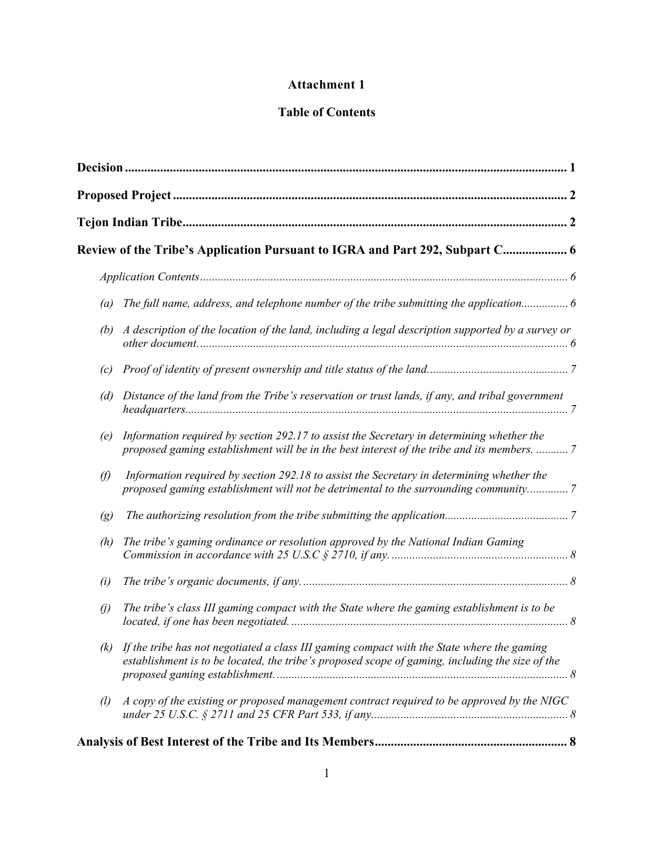## **Attachment 1**

## **Table of Contents**

|                        | Review of the Tribe's Application Pursuant to IGRA and Part 292, Subpart C 6                                                                                                                  |  |  |  |  |
|------------------------|-----------------------------------------------------------------------------------------------------------------------------------------------------------------------------------------------|--|--|--|--|
|                        |                                                                                                                                                                                               |  |  |  |  |
| (a)                    | The full name, address, and telephone number of the tribe submitting the application 6                                                                                                        |  |  |  |  |
| (b)                    | A description of the location of the land, including a legal description supported by a survey or                                                                                             |  |  |  |  |
| (c)                    |                                                                                                                                                                                               |  |  |  |  |
| (d)                    | Distance of the land from the Tribe's reservation or trust lands, if any, and tribal government                                                                                               |  |  |  |  |
| (e)                    | Information required by section 292.17 to assist the Secretary in determining whether the<br>proposed gaming establishment will be in the best interest of the tribe and its members.  7      |  |  |  |  |
| $\mathcal{D}$          | Information required by section 292.18 to assist the Secretary in determining whether the<br>proposed gaming establishment will not be detrimental to the surrounding community7              |  |  |  |  |
| $\left(g\right)$       |                                                                                                                                                                                               |  |  |  |  |
| (h)                    | The tribe's gaming ordinance or resolution approved by the National Indian Gaming                                                                                                             |  |  |  |  |
| (i)                    |                                                                                                                                                                                               |  |  |  |  |
| $\left(\dot{y}\right)$ | The tribe's class III gaming compact with the State where the gaming establishment is to be                                                                                                   |  |  |  |  |
| (k)                    | If the tribe has not negotiated a class III gaming compact with the State where the gaming<br>establishment is to be located, the tribe's proposed scope of gaming, including the size of the |  |  |  |  |
| $\left( l\right)$      | A copy of the existing or proposed management contract required to be approved by the NIGC                                                                                                    |  |  |  |  |
|                        |                                                                                                                                                                                               |  |  |  |  |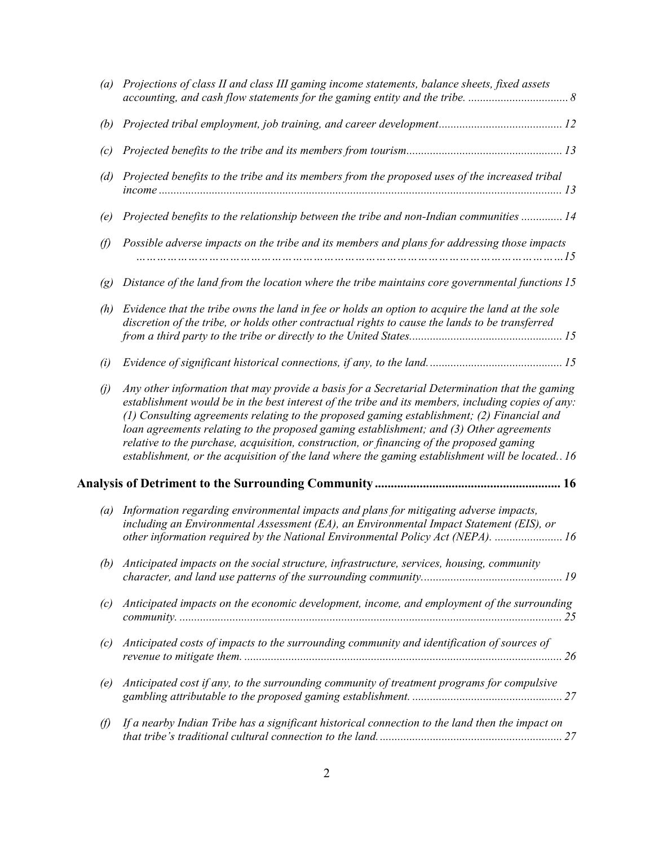| (a)               | Projections of class II and class III gaming income statements, balance sheets, fixed assets                                                                                                                                                                                                                                                                                                                                                                                                                                                                                                 |
|-------------------|----------------------------------------------------------------------------------------------------------------------------------------------------------------------------------------------------------------------------------------------------------------------------------------------------------------------------------------------------------------------------------------------------------------------------------------------------------------------------------------------------------------------------------------------------------------------------------------------|
| (b)               |                                                                                                                                                                                                                                                                                                                                                                                                                                                                                                                                                                                              |
| (c)               |                                                                                                                                                                                                                                                                                                                                                                                                                                                                                                                                                                                              |
| (d)               | Projected benefits to the tribe and its members from the proposed uses of the increased tribal                                                                                                                                                                                                                                                                                                                                                                                                                                                                                               |
| (e)               | Projected benefits to the relationship between the tribe and non-Indian communities  14                                                                                                                                                                                                                                                                                                                                                                                                                                                                                                      |
| O)                | Possible adverse impacts on the tribe and its members and plans for addressing those impacts<br>.15                                                                                                                                                                                                                                                                                                                                                                                                                                                                                          |
| $\left( g\right)$ | Distance of the land from the location where the tribe maintains core governmental functions 15                                                                                                                                                                                                                                                                                                                                                                                                                                                                                              |
| (h)               | Evidence that the tribe owns the land in fee or holds an option to acquire the land at the sole<br>discretion of the tribe, or holds other contractual rights to cause the lands to be transferred                                                                                                                                                                                                                                                                                                                                                                                           |
| (i)               |                                                                                                                                                                                                                                                                                                                                                                                                                                                                                                                                                                                              |
| $\left( j\right)$ | Any other information that may provide a basis for a Secretarial Determination that the gaming<br>establishment would be in the best interest of the tribe and its members, including copies of any:<br>(1) Consulting agreements relating to the proposed gaming establishment; (2) Financial and<br>loan agreements relating to the proposed gaming establishment; and (3) Other agreements<br>relative to the purchase, acquisition, construction, or financing of the proposed gaming<br>establishment, or the acquisition of the land where the gaming establishment will be located 16 |
|                   |                                                                                                                                                                                                                                                                                                                                                                                                                                                                                                                                                                                              |
| (a)               | Information regarding environmental impacts and plans for mitigating adverse impacts,<br>including an Environmental Assessment (EA), an Environmental Impact Statement (EIS), or<br>other information required by the National Environmental Policy Act (NEPA).  16                                                                                                                                                                                                                                                                                                                          |
| (b)               | Anticipated impacts on the social structure, infrastructure, services, housing, community                                                                                                                                                                                                                                                                                                                                                                                                                                                                                                    |
| (c)               | Anticipated impacts on the economic development, income, and employment of the surrounding                                                                                                                                                                                                                                                                                                                                                                                                                                                                                                   |
| (c)               | Anticipated costs of impacts to the surrounding community and identification of sources of                                                                                                                                                                                                                                                                                                                                                                                                                                                                                                   |
| (e)               | Anticipated cost if any, to the surrounding community of treatment programs for compulsive                                                                                                                                                                                                                                                                                                                                                                                                                                                                                                   |
| $\vartheta$       | If a nearby Indian Tribe has a significant historical connection to the land then the impact on                                                                                                                                                                                                                                                                                                                                                                                                                                                                                              |